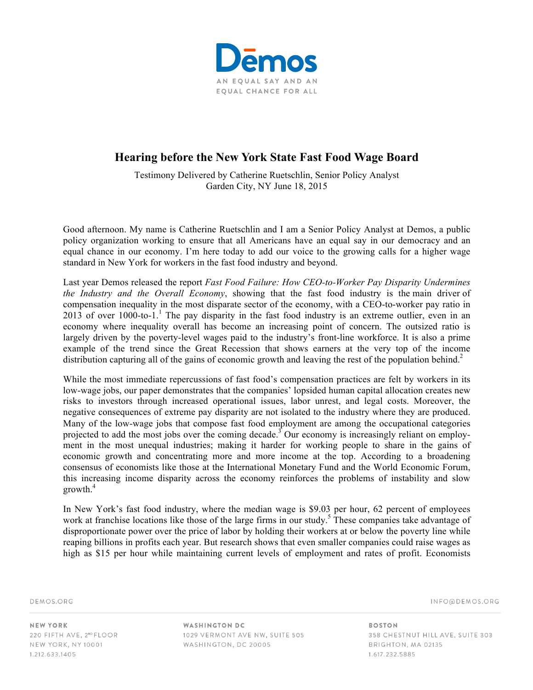

## **Hearing before the New York State Fast Food Wage Board**

Testimony Delivered by Catherine Ruetschlin, Senior Policy Analyst Garden City, NY June 18, 2015

Good afternoon. My name is Catherine Ruetschlin and I am a Senior Policy Analyst at Demos, a public policy organization working to ensure that all Americans have an equal say in our democracy and an equal chance in our economy. I'm here today to add our voice to the growing calls for a higher wage standard in New York for workers in the fast food industry and beyond.

Last year Demos released the report *Fast Food Failure: How CEO-to-Worker Pay Disparity Undermines the Industry and the Overall Economy*, showing that the fast food industry is the main driver of compensation inequality in the most disparate sector of the economy, with a CEO-to-worker pay ratio in 2013 of over  $1000$ -to-1.<sup>1</sup> The pay disparity in the fast food industry is an extreme outlier, even in an economy where inequality overall has become an increasing point of concern. The outsized ratio is largely driven by the poverty-level wages paid to the industry's front-line workforce. It is also a prime example of the trend since the Great Recession that shows earners at the very top of the income distribution capturing all of the gains of economic growth and leaving the rest of the population behind.<sup>2</sup>

While the most immediate repercussions of fast food's compensation practices are felt by workers in its low-wage jobs, our paper demonstrates that the companies' lopsided human capital allocation creates new risks to investors through increased operational issues, labor unrest, and legal costs. Moreover, the negative consequences of extreme pay disparity are not isolated to the industry where they are produced. Many of the low-wage jobs that compose fast food employment are among the occupational categories projected to add the most jobs over the coming decade.3 Our economy is increasingly reliant on employment in the most unequal industries; making it harder for working people to share in the gains of economic growth and concentrating more and more income at the top. According to a broadening consensus of economists like those at the International Monetary Fund and the World Economic Forum, this increasing income disparity across the economy reinforces the problems of instability and slow growth.4

In New York's fast food industry, where the median wage is \$9.03 per hour, 62 percent of employees work at franchise locations like those of the large firms in our study.<sup>5</sup> These companies take advantage of disproportionate power over the price of labor by holding their workers at or below the poverty line while reaping billions in profits each year. But research shows that even smaller companies could raise wages as high as \$15 per hour while maintaining current levels of employment and rates of profit. Economists

DEMOS.ORG

INFO@DEMOS.ORG

**NEW YORK** 220 FIFTH AVE, 2ND FLOOR NEW YORK, NY 10001 1.212.633.1405

**WASHINGTON DC** 1029 VERMONT AVE NW, SUITE 505 WASHINGTON, DC 20005

**BOSTON** 358 CHESTNUT HILL AVE, SUITE 303 BRIGHTON, MA 02135 1.617.232.5885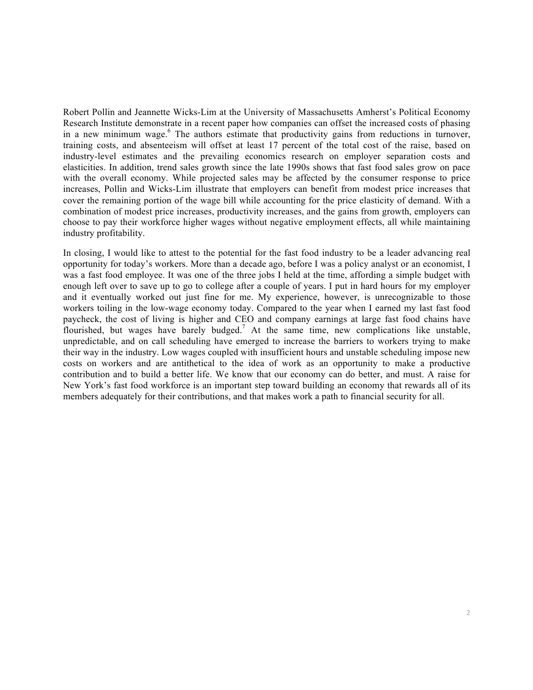Robert Pollin and Jeannette Wicks-Lim at the University of Massachusetts Amherst's Political Economy Research Institute demonstrate in a recent paper how companies can offset the increased costs of phasing in a new minimum wage.<sup>6</sup> The authors estimate that productivity gains from reductions in turnover, training costs, and absenteeism will offset at least 17 percent of the total cost of the raise, based on industry-level estimates and the prevailing economics research on employer separation costs and elasticities. In addition, trend sales growth since the late 1990s shows that fast food sales grow on pace with the overall economy. While projected sales may be affected by the consumer response to price increases, Pollin and Wicks-Lim illustrate that employers can benefit from modest price increases that cover the remaining portion of the wage bill while accounting for the price elasticity of demand. With a combination of modest price increases, productivity increases, and the gains from growth, employers can choose to pay their workforce higher wages without negative employment effects, all while maintaining industry profitability.

In closing, I would like to attest to the potential for the fast food industry to be a leader advancing real opportunity for today's workers. More than a decade ago, before I was a policy analyst or an economist, I was a fast food employee. It was one of the three jobs I held at the time, affording a simple budget with enough left over to save up to go to college after a couple of years. I put in hard hours for my employer and it eventually worked out just fine for me. My experience, however, is unrecognizable to those workers toiling in the low-wage economy today. Compared to the year when I earned my last fast food paycheck, the cost of living is higher and CEO and company earnings at large fast food chains have flourished, but wages have barely budged.<sup>7</sup> At the same time, new complications like unstable, unpredictable, and on call scheduling have emerged to increase the barriers to workers trying to make their way in the industry. Low wages coupled with insufficient hours and unstable scheduling impose new costs on workers and are antithetical to the idea of work as an opportunity to make a productive contribution and to build a better life. We know that our economy can do better, and must. A raise for New York's fast food workforce is an important step toward building an economy that rewards all of its members adequately for their contributions, and that makes work a path to financial security for all.